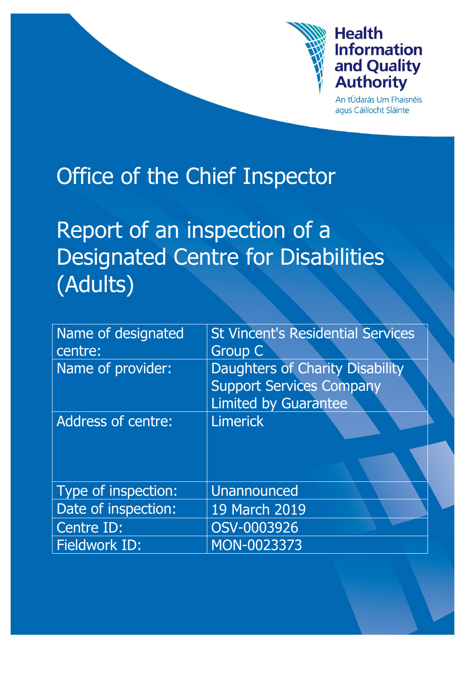

# **Health Information** and Quality **Authority**

An tÚdarás Um Fhaisnéis aqus Cáilíocht Sláinte

# Office of the Chief Inspector

Report of an inspection of a Designated Centre for Disabilities (Adults)

| Name of designated        | <b>St Vincent's Residential Services</b> |  |  |
|---------------------------|------------------------------------------|--|--|
| centre:                   | <b>Group C</b>                           |  |  |
| Name of provider:         | <b>Daughters of Charity Disability</b>   |  |  |
|                           | <b>Support Services Company</b>          |  |  |
|                           | <b>Limited by Guarantee</b>              |  |  |
| <b>Address of centre:</b> | <b>Limerick</b>                          |  |  |
|                           |                                          |  |  |
|                           |                                          |  |  |
| Type of inspection:       | <b>Unannounced</b>                       |  |  |
| Date of inspection:       | 19 March 2019                            |  |  |
| Centre ID:                | OSV-0003926                              |  |  |
| <b>Fieldwork ID:</b>      | MON-0023373                              |  |  |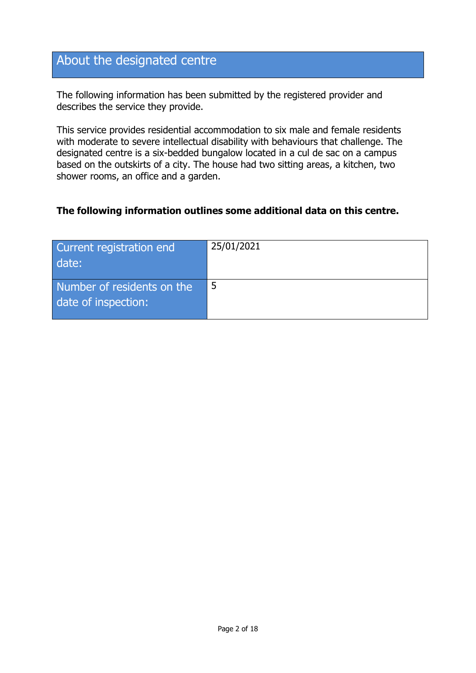# About the designated centre

The following information has been submitted by the registered provider and describes the service they provide.

This service provides residential accommodation to six male and female residents with moderate to severe intellectual disability with behaviours that challenge. The designated centre is a six-bedded bungalow located in a cul de sac on a campus based on the outskirts of a city. The house had two sitting areas, a kitchen, two shower rooms, an office and a garden.

#### **The following information outlines some additional data on this centre.**

| Current registration end<br>date:                 | 25/01/2021 |
|---------------------------------------------------|------------|
| Number of residents on the<br>date of inspection: |            |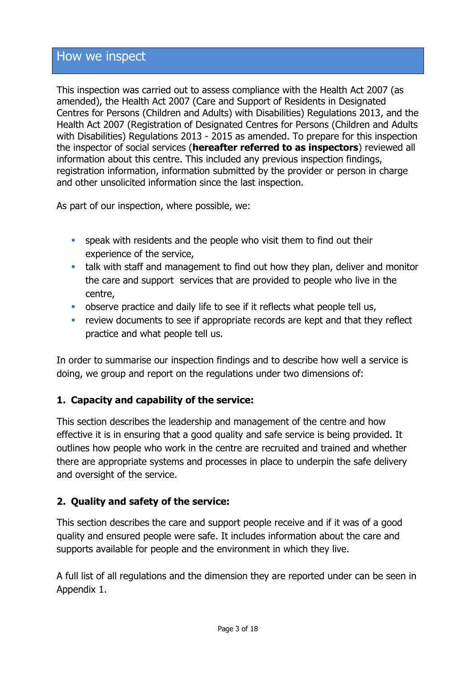# How we inspect

This inspection was carried out to assess compliance with the Health Act 2007 (as amended), the Health Act 2007 (Care and Support of Residents in Designated Centres for Persons (Children and Adults) with Disabilities) Regulations 2013, and the Health Act 2007 (Registration of Designated Centres for Persons (Children and Adults with Disabilities) Regulations 2013 - 2015 as amended. To prepare for this inspection the inspector of social services (**hereafter referred to as inspectors**) reviewed all information about this centre. This included any previous inspection findings, registration information, information submitted by the provider or person in charge and other unsolicited information since the last inspection.

As part of our inspection, where possible, we:

- **speak with residents and the people who visit them to find out their** experience of the service,
- talk with staff and management to find out how they plan, deliver and monitor the care and support services that are provided to people who live in the centre,
- **•** observe practice and daily life to see if it reflects what people tell us,
- **F** review documents to see if appropriate records are kept and that they reflect practice and what people tell us.

In order to summarise our inspection findings and to describe how well a service is doing, we group and report on the regulations under two dimensions of:

#### **1. Capacity and capability of the service:**

This section describes the leadership and management of the centre and how effective it is in ensuring that a good quality and safe service is being provided. It outlines how people who work in the centre are recruited and trained and whether there are appropriate systems and processes in place to underpin the safe delivery and oversight of the service.

#### **2. Quality and safety of the service:**

This section describes the care and support people receive and if it was of a good quality and ensured people were safe. It includes information about the care and supports available for people and the environment in which they live.

A full list of all regulations and the dimension they are reported under can be seen in Appendix 1.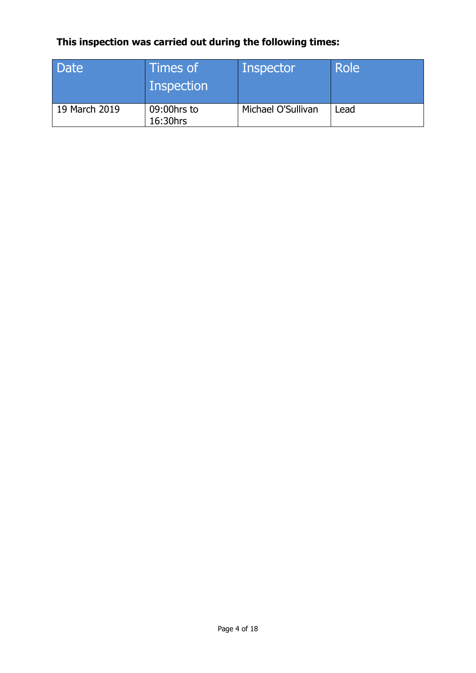# **This inspection was carried out during the following times:**

| Date          | Times of<br>Inspection  | Inspector          | Role |
|---------------|-------------------------|--------------------|------|
| 19 March 2019 | 09:00hrs to<br>16:30hrs | Michael O'Sullivan | Lead |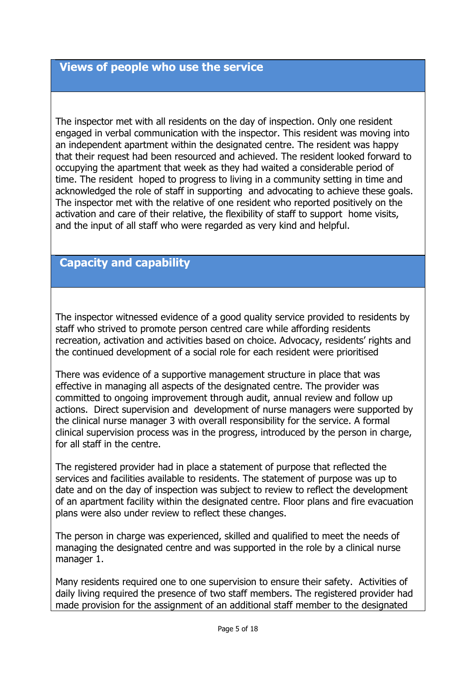#### **Views of people who use the service**

The inspector met with all residents on the day of inspection. Only one resident engaged in verbal communication with the inspector. This resident was moving into an independent apartment within the designated centre. The resident was happy that their request had been resourced and achieved. The resident looked forward to occupying the apartment that week as they had waited a considerable period of time. The resident hoped to progress to living in a community setting in time and acknowledged the role of staff in supporting and advocating to achieve these goals. The inspector met with the relative of one resident who reported positively on the activation and care of their relative, the flexibility of staff to support home visits, and the input of all staff who were regarded as very kind and helpful.

## **Capacity and capability**

The inspector witnessed evidence of a good quality service provided to residents by staff who strived to promote person centred care while affording residents recreation, activation and activities based on choice. Advocacy, residents' rights and the continued development of a social role for each resident were prioritised

There was evidence of a supportive management structure in place that was effective in managing all aspects of the designated centre. The provider was committed to ongoing improvement through audit, annual review and follow up actions. Direct supervision and development of nurse managers were supported by the clinical nurse manager 3 with overall responsibility for the service. A formal clinical supervision process was in the progress, introduced by the person in charge, for all staff in the centre.

The registered provider had in place a statement of purpose that reflected the services and facilities available to residents. The statement of purpose was up to date and on the day of inspection was subject to review to reflect the development of an apartment facility within the designated centre. Floor plans and fire evacuation plans were also under review to reflect these changes.

The person in charge was experienced, skilled and qualified to meet the needs of managing the designated centre and was supported in the role by a clinical nurse manager 1.

Many residents required one to one supervision to ensure their safety. Activities of daily living required the presence of two staff members. The registered provider had made provision for the assignment of an additional staff member to the designated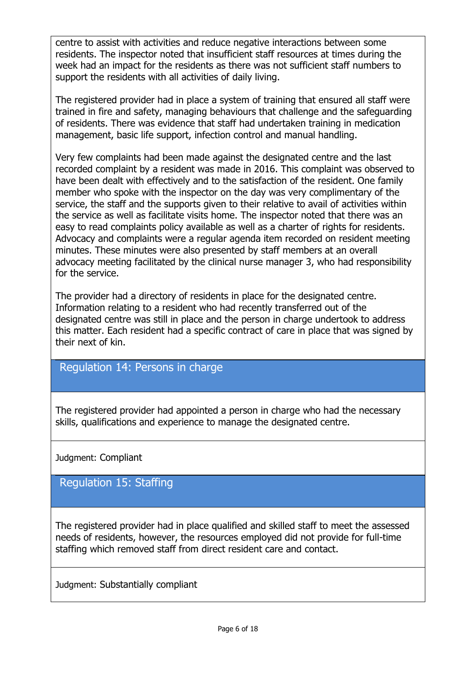centre to assist with activities and reduce negative interactions between some residents. The inspector noted that insufficient staff resources at times during the week had an impact for the residents as there was not sufficient staff numbers to support the residents with all activities of daily living.

The registered provider had in place a system of training that ensured all staff were trained in fire and safety, managing behaviours that challenge and the safeguarding of residents. There was evidence that staff had undertaken training in medication management, basic life support, infection control and manual handling.

Very few complaints had been made against the designated centre and the last recorded complaint by a resident was made in 2016. This complaint was observed to have been dealt with effectively and to the satisfaction of the resident. One family member who spoke with the inspector on the day was very complimentary of the service, the staff and the supports given to their relative to avail of activities within the service as well as facilitate visits home. The inspector noted that there was an easy to read complaints policy available as well as a charter of rights for residents. Advocacy and complaints were a regular agenda item recorded on resident meeting minutes. These minutes were also presented by staff members at an overall advocacy meeting facilitated by the clinical nurse manager 3, who had responsibility for the service.

The provider had a directory of residents in place for the designated centre. Information relating to a resident who had recently transferred out of the designated centre was still in place and the person in charge undertook to address this matter. Each resident had a specific contract of care in place that was signed by their next of kin.

### Regulation 14: Persons in charge

The registered provider had appointed a person in charge who had the necessary skills, qualifications and experience to manage the designated centre.

Judgment: Compliant

Regulation 15: Staffing

The registered provider had in place qualified and skilled staff to meet the assessed needs of residents, however, the resources employed did not provide for full-time staffing which removed staff from direct resident care and contact.

Judgment: Substantially compliant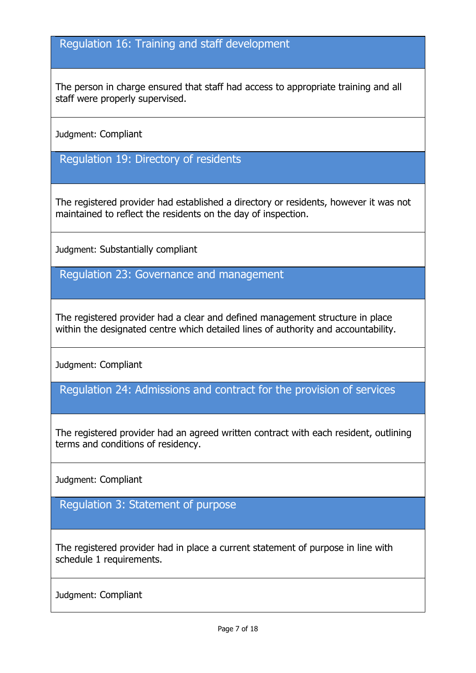## Regulation 16: Training and staff development

The person in charge ensured that staff had access to appropriate training and all staff were properly supervised.

Judgment: Compliant

Regulation 19: Directory of residents

The registered provider had established a directory or residents, however it was not maintained to reflect the residents on the day of inspection.

Judgment: Substantially compliant

Regulation 23: Governance and management

The registered provider had a clear and defined management structure in place within the designated centre which detailed lines of authority and accountability.

Judgment: Compliant

Regulation 24: Admissions and contract for the provision of services

The registered provider had an agreed written contract with each resident, outlining terms and conditions of residency.

Judgment: Compliant

Regulation 3: Statement of purpose

The registered provider had in place a current statement of purpose in line with schedule 1 requirements.

Judgment: Compliant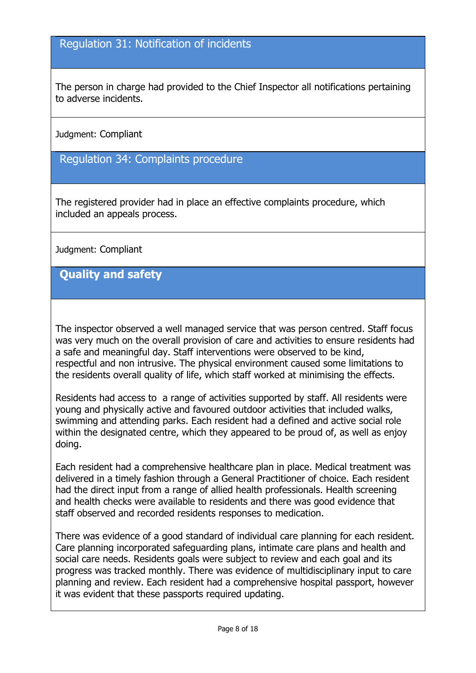#### Regulation 31: Notification of incidents

The person in charge had provided to the Chief Inspector all notifications pertaining to adverse incidents.

Judgment: Compliant

Regulation 34: Complaints procedure

The registered provider had in place an effective complaints procedure, which included an appeals process.

Judgment: Compliant

**Quality and safety**

The inspector observed a well managed service that was person centred. Staff focus was very much on the overall provision of care and activities to ensure residents had a safe and meaningful day. Staff interventions were observed to be kind, respectful and non intrusive. The physical environment caused some limitations to the residents overall quality of life, which staff worked at minimising the effects.

Residents had access to a range of activities supported by staff. All residents were young and physically active and favoured outdoor activities that included walks, swimming and attending parks. Each resident had a defined and active social role within the designated centre, which they appeared to be proud of, as well as enjoy doing.

Each resident had a comprehensive healthcare plan in place. Medical treatment was delivered in a timely fashion through a General Practitioner of choice. Each resident had the direct input from a range of allied health professionals. Health screening and health checks were available to residents and there was good evidence that staff observed and recorded residents responses to medication.

There was evidence of a good standard of individual care planning for each resident. Care planning incorporated safeguarding plans, intimate care plans and health and social care needs. Residents goals were subject to review and each goal and its progress was tracked monthly. There was evidence of multidisciplinary input to care planning and review. Each resident had a comprehensive hospital passport, however it was evident that these passports required updating.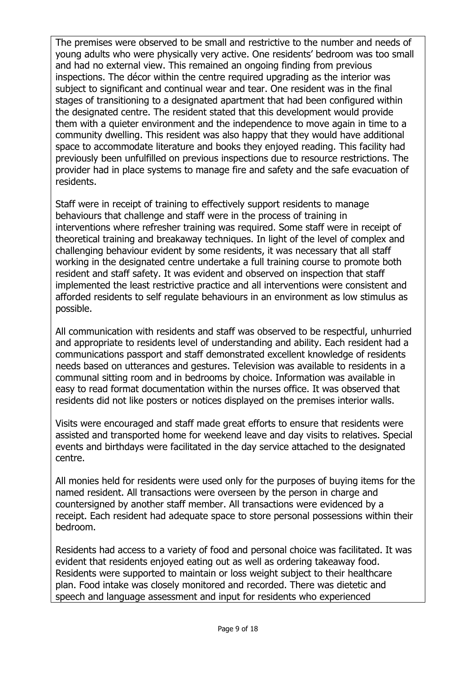The premises were observed to be small and restrictive to the number and needs of young adults who were physically very active. One residents' bedroom was too small and had no external view. This remained an ongoing finding from previous inspections. The décor within the centre required upgrading as the interior was subject to significant and continual wear and tear. One resident was in the final stages of transitioning to a designated apartment that had been configured within the designated centre. The resident stated that this development would provide them with a quieter environment and the independence to move again in time to a community dwelling. This resident was also happy that they would have additional space to accommodate literature and books they enjoyed reading. This facility had previously been unfulfilled on previous inspections due to resource restrictions. The provider had in place systems to manage fire and safety and the safe evacuation of residents.

Staff were in receipt of training to effectively support residents to manage behaviours that challenge and staff were in the process of training in interventions where refresher training was required. Some staff were in receipt of theoretical training and breakaway techniques. In light of the level of complex and challenging behaviour evident by some residents, it was necessary that all staff working in the designated centre undertake a full training course to promote both resident and staff safety. It was evident and observed on inspection that staff implemented the least restrictive practice and all interventions were consistent and afforded residents to self regulate behaviours in an environment as low stimulus as possible.

All communication with residents and staff was observed to be respectful, unhurried and appropriate to residents level of understanding and ability. Each resident had a communications passport and staff demonstrated excellent knowledge of residents needs based on utterances and gestures. Television was available to residents in a communal sitting room and in bedrooms by choice. Information was available in easy to read format documentation within the nurses office. It was observed that residents did not like posters or notices displayed on the premises interior walls.

Visits were encouraged and staff made great efforts to ensure that residents were assisted and transported home for weekend leave and day visits to relatives. Special events and birthdays were facilitated in the day service attached to the designated centre.

All monies held for residents were used only for the purposes of buying items for the named resident. All transactions were overseen by the person in charge and countersigned by another staff member. All transactions were evidenced by a receipt. Each resident had adequate space to store personal possessions within their bedroom.

Residents had access to a variety of food and personal choice was facilitated. It was evident that residents enjoyed eating out as well as ordering takeaway food. Residents were supported to maintain or loss weight subject to their healthcare plan. Food intake was closely monitored and recorded. There was dietetic and speech and language assessment and input for residents who experienced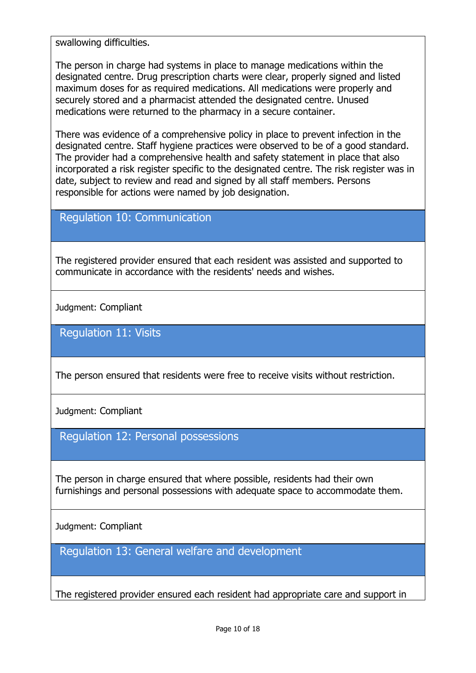swallowing difficulties.

The person in charge had systems in place to manage medications within the designated centre. Drug prescription charts were clear, properly signed and listed maximum doses for as required medications. All medications were properly and securely stored and a pharmacist attended the designated centre. Unused medications were returned to the pharmacy in a secure container.

There was evidence of a comprehensive policy in place to prevent infection in the designated centre. Staff hygiene practices were observed to be of a good standard. The provider had a comprehensive health and safety statement in place that also incorporated a risk register specific to the designated centre. The risk register was in date, subject to review and read and signed by all staff members. Persons responsible for actions were named by job designation.

### Regulation 10: Communication

The registered provider ensured that each resident was assisted and supported to communicate in accordance with the residents' needs and wishes.

Judgment: Compliant

Regulation 11: Visits

The person ensured that residents were free to receive visits without restriction.

Judgment: Compliant

Regulation 12: Personal possessions

The person in charge ensured that where possible, residents had their own furnishings and personal possessions with adequate space to accommodate them.

Judgment: Compliant

Regulation 13: General welfare and development

The registered provider ensured each resident had appropriate care and support in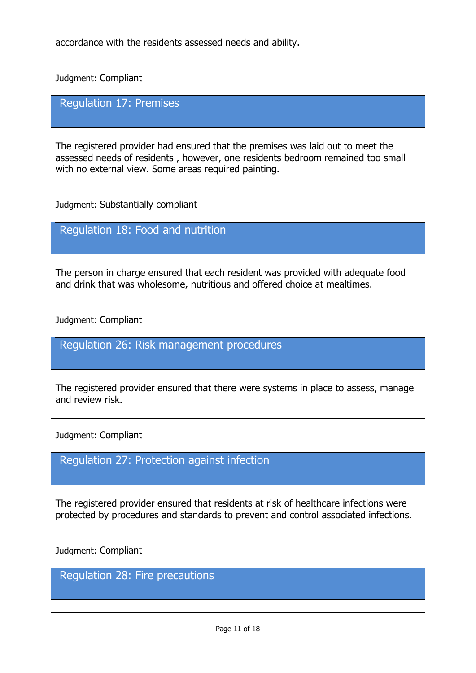accordance with the residents assessed needs and ability.

Judgment: Compliant

Regulation 17: Premises

The registered provider had ensured that the premises was laid out to meet the assessed needs of residents , however, one residents bedroom remained too small with no external view. Some areas required painting.

Judgment: Substantially compliant

Regulation 18: Food and nutrition

The person in charge ensured that each resident was provided with adequate food and drink that was wholesome, nutritious and offered choice at mealtimes.

Judgment: Compliant

Regulation 26: Risk management procedures

The registered provider ensured that there were systems in place to assess, manage and review risk.

Judgment: Compliant

Regulation 27: Protection against infection

The registered provider ensured that residents at risk of healthcare infections were protected by procedures and standards to prevent and control associated infections.

Judgment: Compliant

Regulation 28: Fire precautions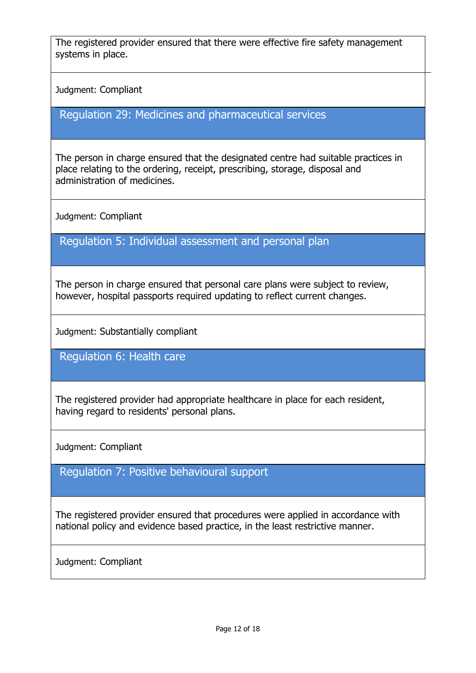The registered provider ensured that there were effective fire safety management systems in place.

Judgment: Compliant

Regulation 29: Medicines and pharmaceutical services

The person in charge ensured that the designated centre had suitable practices in place relating to the ordering, receipt, prescribing, storage, disposal and administration of medicines.

Judgment: Compliant

Regulation 5: Individual assessment and personal plan

The person in charge ensured that personal care plans were subject to review, however, hospital passports required updating to reflect current changes.

Judgment: Substantially compliant

Regulation 6: Health care

The registered provider had appropriate healthcare in place for each resident, having regard to residents' personal plans.

Judgment: Compliant

Regulation 7: Positive behavioural support

The registered provider ensured that procedures were applied in accordance with national policy and evidence based practice, in the least restrictive manner.

Judgment: Compliant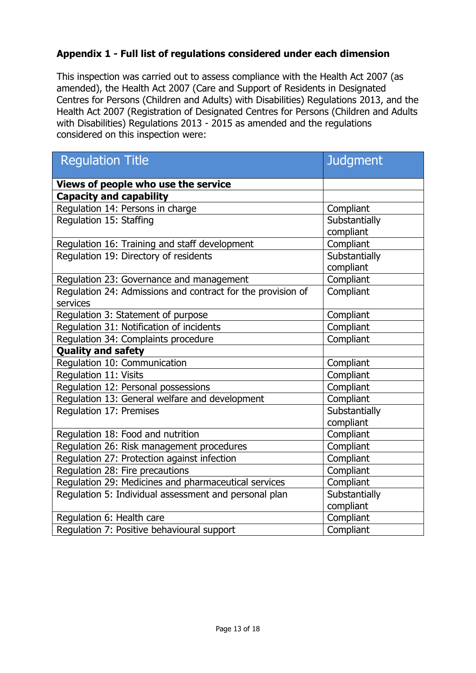#### **Appendix 1 - Full list of regulations considered under each dimension**

This inspection was carried out to assess compliance with the Health Act 2007 (as amended), the Health Act 2007 (Care and Support of Residents in Designated Centres for Persons (Children and Adults) with Disabilities) Regulations 2013, and the Health Act 2007 (Registration of Designated Centres for Persons (Children and Adults with Disabilities) Regulations 2013 - 2015 as amended and the regulations considered on this inspection were:

| <b>Regulation Title</b>                                     | <b>Judgment</b> |  |
|-------------------------------------------------------------|-----------------|--|
|                                                             |                 |  |
| Views of people who use the service                         |                 |  |
| <b>Capacity and capability</b>                              |                 |  |
| Regulation 14: Persons in charge                            | Compliant       |  |
| Regulation 15: Staffing                                     | Substantially   |  |
|                                                             | compliant       |  |
| Regulation 16: Training and staff development               | Compliant       |  |
| Regulation 19: Directory of residents                       | Substantially   |  |
|                                                             | compliant       |  |
| Regulation 23: Governance and management                    | Compliant       |  |
| Regulation 24: Admissions and contract for the provision of | Compliant       |  |
| services                                                    |                 |  |
| Regulation 3: Statement of purpose                          | Compliant       |  |
| Regulation 31: Notification of incidents                    | Compliant       |  |
| Regulation 34: Complaints procedure                         | Compliant       |  |
| <b>Quality and safety</b>                                   |                 |  |
| Regulation 10: Communication                                | Compliant       |  |
| <b>Regulation 11: Visits</b>                                | Compliant       |  |
| Regulation 12: Personal possessions                         | Compliant       |  |
| Regulation 13: General welfare and development              | Compliant       |  |
| Regulation 17: Premises                                     | Substantially   |  |
|                                                             | compliant       |  |
| Regulation 18: Food and nutrition                           | Compliant       |  |
| Regulation 26: Risk management procedures                   | Compliant       |  |
| Regulation 27: Protection against infection                 | Compliant       |  |
| Regulation 28: Fire precautions                             | Compliant       |  |
| Regulation 29: Medicines and pharmaceutical services        | Compliant       |  |
| Regulation 5: Individual assessment and personal plan       | Substantially   |  |
|                                                             | compliant       |  |
| Regulation 6: Health care                                   | Compliant       |  |
| Regulation 7: Positive behavioural support                  | Compliant       |  |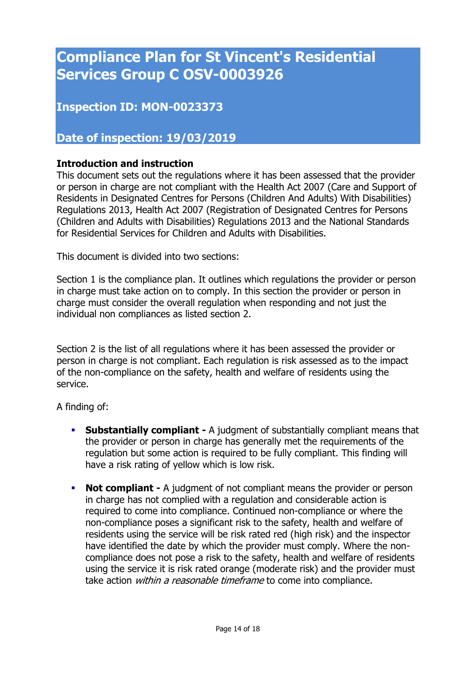# **Compliance Plan for St Vincent's Residential Services Group C OSV-0003926**

### **Inspection ID: MON-0023373**

#### **Date of inspection: 19/03/2019**

#### **Introduction and instruction**

This document sets out the regulations where it has been assessed that the provider or person in charge are not compliant with the Health Act 2007 (Care and Support of Residents in Designated Centres for Persons (Children And Adults) With Disabilities) Regulations 2013, Health Act 2007 (Registration of Designated Centres for Persons (Children and Adults with Disabilities) Regulations 2013 and the National Standards for Residential Services for Children and Adults with Disabilities.

This document is divided into two sections:

Section 1 is the compliance plan. It outlines which regulations the provider or person in charge must take action on to comply. In this section the provider or person in charge must consider the overall regulation when responding and not just the individual non compliances as listed section 2.

Section 2 is the list of all regulations where it has been assessed the provider or person in charge is not compliant. Each regulation is risk assessed as to the impact of the non-compliance on the safety, health and welfare of residents using the service.

A finding of:

- **Substantially compliant -** A judgment of substantially compliant means that the provider or person in charge has generally met the requirements of the regulation but some action is required to be fully compliant. This finding will have a risk rating of yellow which is low risk.
- **Not compliant -** A judgment of not compliant means the provider or person in charge has not complied with a regulation and considerable action is required to come into compliance. Continued non-compliance or where the non-compliance poses a significant risk to the safety, health and welfare of residents using the service will be risk rated red (high risk) and the inspector have identified the date by which the provider must comply. Where the noncompliance does not pose a risk to the safety, health and welfare of residents using the service it is risk rated orange (moderate risk) and the provider must take action *within a reasonable timeframe* to come into compliance.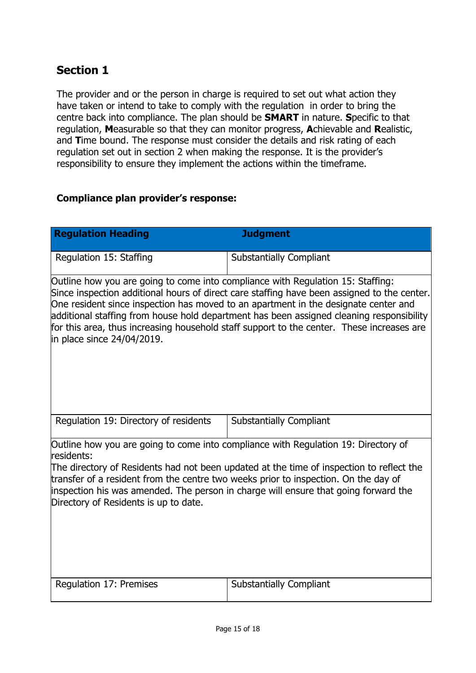# **Section 1**

The provider and or the person in charge is required to set out what action they have taken or intend to take to comply with the regulation in order to bring the centre back into compliance. The plan should be **SMART** in nature. **S**pecific to that regulation, **M**easurable so that they can monitor progress, **A**chievable and **R**ealistic, and **T**ime bound. The response must consider the details and risk rating of each regulation set out in section 2 when making the response. It is the provider's responsibility to ensure they implement the actions within the timeframe.

#### **Compliance plan provider's response:**

| <b>Regulation Heading</b>                                                                                                                                                                                                                                                                                                                                                                                                                                                                       | <b>Judgment</b>                |  |  |
|-------------------------------------------------------------------------------------------------------------------------------------------------------------------------------------------------------------------------------------------------------------------------------------------------------------------------------------------------------------------------------------------------------------------------------------------------------------------------------------------------|--------------------------------|--|--|
| Regulation 15: Staffing                                                                                                                                                                                                                                                                                                                                                                                                                                                                         | <b>Substantially Compliant</b> |  |  |
| Outline how you are going to come into compliance with Regulation 15: Staffing:<br>Since inspection additional hours of direct care staffing have been assigned to the center.<br>One resident since inspection has moved to an apartment in the designate center and<br>additional staffing from house hold department has been assigned cleaning responsibility<br>for this area, thus increasing household staff support to the center. These increases are<br>in place since $24/04/2019$ . |                                |  |  |
| Regulation 19: Directory of residents                                                                                                                                                                                                                                                                                                                                                                                                                                                           | <b>Substantially Compliant</b> |  |  |
| Outline how you are going to come into compliance with Regulation 19: Directory of<br>residents:                                                                                                                                                                                                                                                                                                                                                                                                |                                |  |  |
| The directory of Residents had not been updated at the time of inspection to reflect the<br>transfer of a resident from the centre two weeks prior to inspection. On the day of<br>inspection his was amended. The person in charge will ensure that going forward the<br>Directory of Residents is up to date.                                                                                                                                                                                 |                                |  |  |
| Regulation 17: Premises                                                                                                                                                                                                                                                                                                                                                                                                                                                                         | <b>Substantially Compliant</b> |  |  |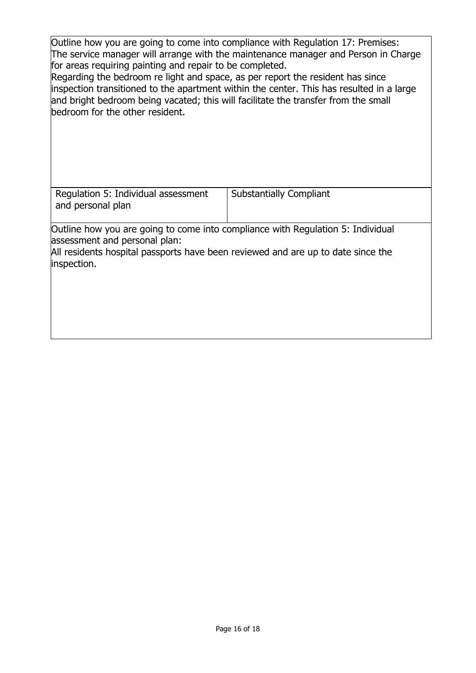Outline how you are going to come into compliance with Regulation 17: Premises: The service manager will arrange with the maintenance manager and Person in Charge for areas requiring painting and repair to be completed.

Regarding the bedroom re light and space, as per report the resident has since inspection transitioned to the apartment within the center. This has resulted in a large and bright bedroom being vacated; this will facilitate the transfer from the small bedroom for the other resident.

| Regulation 5: Individual assessment<br>and personal plan                                                                                                                                                            | <b>Substantially Compliant</b> |
|---------------------------------------------------------------------------------------------------------------------------------------------------------------------------------------------------------------------|--------------------------------|
| Outline how you are going to come into compliance with Regulation 5: Individual<br>assessment and personal plan:<br>All residents hospital passports have been reviewed and are up to date since the<br>inspection. |                                |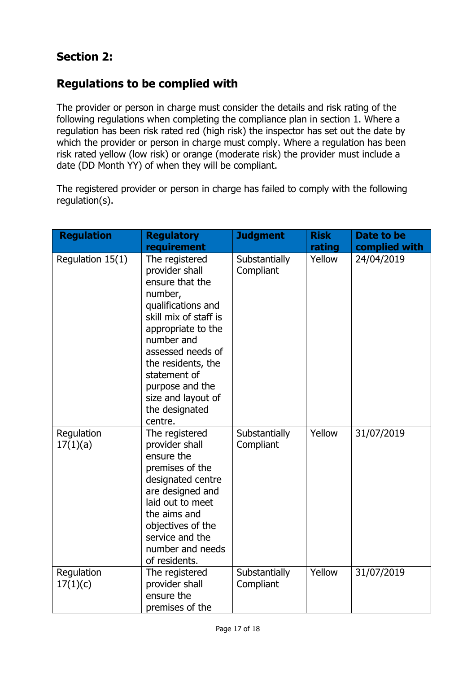# **Regulations to be complied with**

The provider or person in charge must consider the details and risk rating of the following regulations when completing the compliance plan in section 1. Where a regulation has been risk rated red (high risk) the inspector has set out the date by which the provider or person in charge must comply. Where a regulation has been risk rated yellow (low risk) or orange (moderate risk) the provider must include a date (DD Month YY) of when they will be compliant.

The registered provider or person in charge has failed to comply with the following regulation(s).

| <b>Regulation</b>      | <b>Regulatory</b><br>requirement                                                                                                                                                                                                                                                   | <b>Judgment</b>            | <b>Risk</b><br>rating | Date to be<br>complied with |
|------------------------|------------------------------------------------------------------------------------------------------------------------------------------------------------------------------------------------------------------------------------------------------------------------------------|----------------------------|-----------------------|-----------------------------|
| Regulation 15(1)       | The registered<br>provider shall<br>ensure that the<br>number,<br>qualifications and<br>skill mix of staff is<br>appropriate to the<br>number and<br>assessed needs of<br>the residents, the<br>statement of<br>purpose and the<br>size and layout of<br>the designated<br>centre. | Substantially<br>Compliant | Yellow                | 24/04/2019                  |
| Regulation<br>17(1)(a) | The registered<br>provider shall<br>ensure the<br>premises of the<br>designated centre<br>are designed and<br>laid out to meet<br>the aims and<br>objectives of the<br>service and the<br>number and needs<br>of residents.                                                        | Substantially<br>Compliant | Yellow                | 31/07/2019                  |
| Regulation<br>17(1)(c) | The registered<br>provider shall<br>ensure the<br>premises of the                                                                                                                                                                                                                  | Substantially<br>Compliant | Yellow                | 31/07/2019                  |